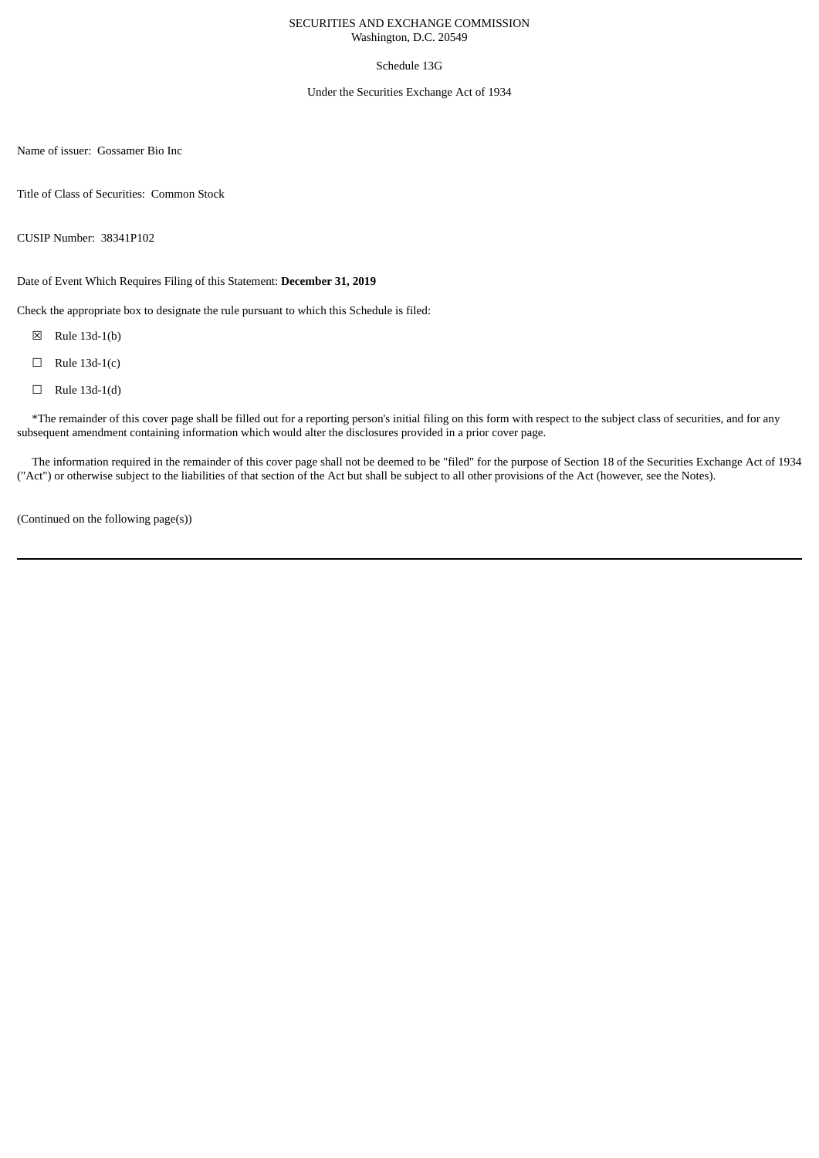## SECURITIES AND EXCHANGE COMMISSION Washington, D.C. 20549

# Schedule 13G

### Under the Securities Exchange Act of 1934

Name of issuer: Gossamer Bio Inc

Title of Class of Securities: Common Stock

CUSIP Number: 38341P102

Date of Event Which Requires Filing of this Statement: **December 31, 2019**

Check the appropriate box to designate the rule pursuant to which this Schedule is filed:

- ☒ Rule 13d-1(b)
- $\Box$  Rule 13d-1(c)
- $\Box$  Rule 13d-1(d)

\*The remainder of this cover page shall be filled out for a reporting person's initial filing on this form with respect to the subject class of securities, and for any subsequent amendment containing information which would alter the disclosures provided in a prior cover page.

The information required in the remainder of this cover page shall not be deemed to be "filed" for the purpose of Section 18 of the Securities Exchange Act of 1934 ("Act") or otherwise subject to the liabilities of that section of the Act but shall be subject to all other provisions of the Act (however, see the Notes).

(Continued on the following page(s))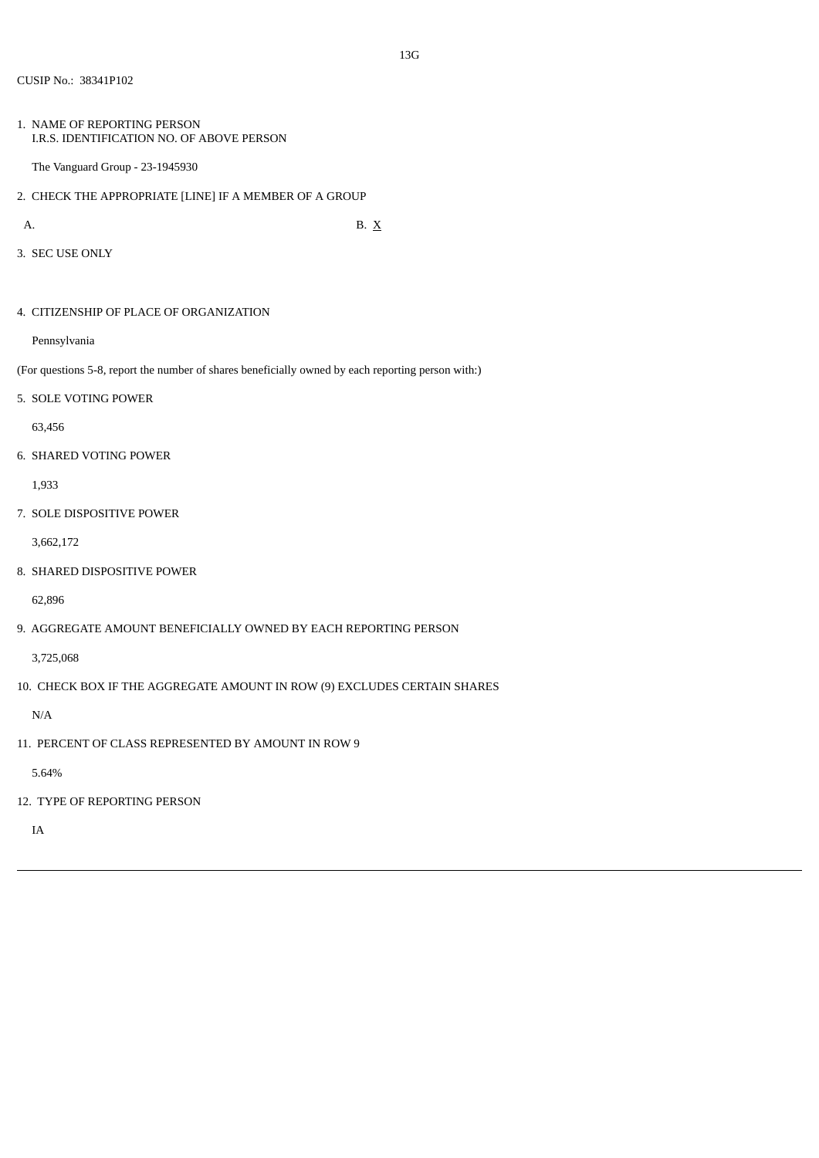1. NAME OF REPORTING PERSON I.R.S. IDENTIFICATION NO. OF ABOVE PERSON

The Vanguard Group - 23-1945930

2. CHECK THE APPROPRIATE [LINE] IF A MEMBER OF A GROUP

A. B.  $X$ 

3. SEC USE ONLY

4. CITIZENSHIP OF PLACE OF ORGANIZATION

Pennsylvania

(For questions 5-8, report the number of shares beneficially owned by each reporting person with:)

5. SOLE VOTING POWER

63,456

6. SHARED VOTING POWER

1,933

7. SOLE DISPOSITIVE POWER

3,662,172

8. SHARED DISPOSITIVE POWER

62,896

9. AGGREGATE AMOUNT BENEFICIALLY OWNED BY EACH REPORTING PERSON

3,725,068

10. CHECK BOX IF THE AGGREGATE AMOUNT IN ROW (9) EXCLUDES CERTAIN SHARES

N/A

11. PERCENT OF CLASS REPRESENTED BY AMOUNT IN ROW 9

5.64%

12. TYPE OF REPORTING PERSON

IA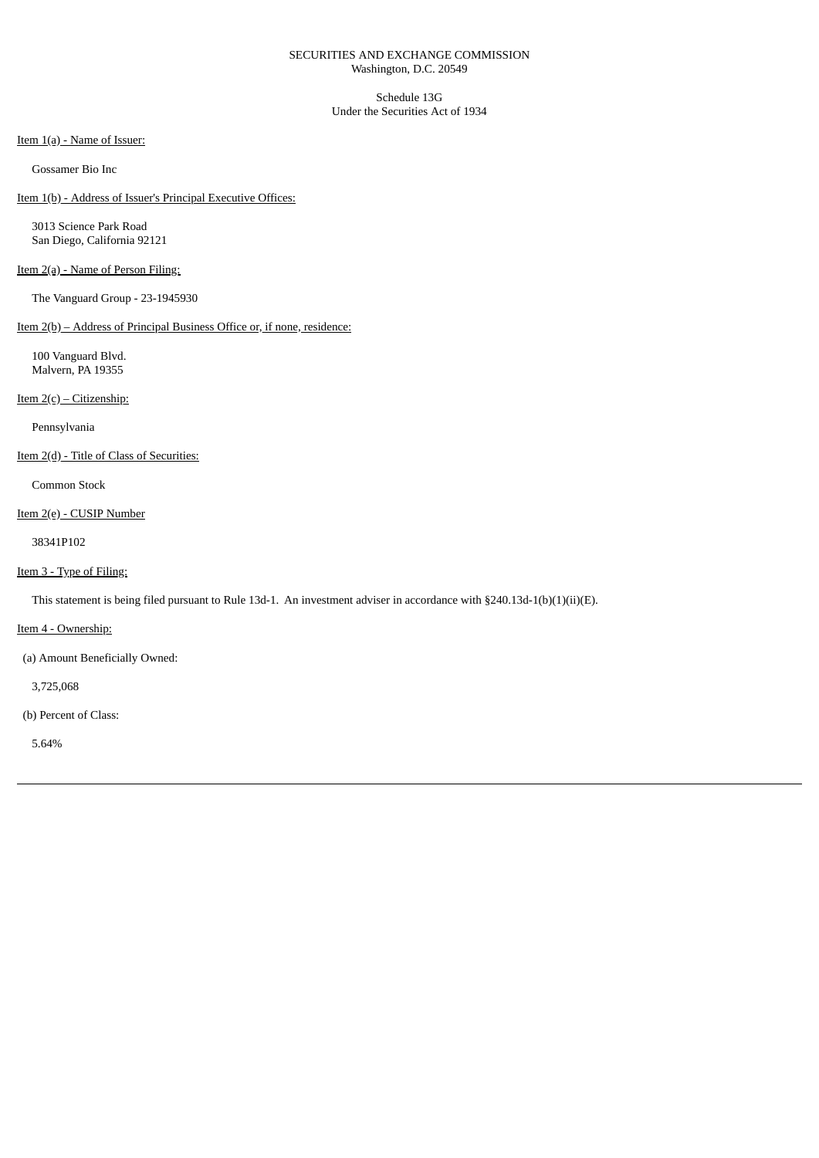## SECURITIES AND EXCHANGE COMMISSION Washington, D.C. 20549

Schedule 13G Under the Securities Act of 1934

# Item 1(a) - Name of Issuer:

Gossamer Bio Inc

# Item 1(b) - Address of Issuer's Principal Executive Offices:

3013 Science Park Road San Diego, California 92121

# Item 2(a) - Name of Person Filing:

The Vanguard Group - 23-1945930

# Item 2(b) – Address of Principal Business Office or, if none, residence:

100 Vanguard Blvd. Malvern, PA 19355

Item 2(c) – Citizenship:

Pennsylvania

Item 2(d) - Title of Class of Securities:

Common Stock

### Item 2(e) - CUSIP Number

38341P102

## Item 3 - Type of Filing:

This statement is being filed pursuant to Rule 13d-1. An investment adviser in accordance with §240.13d-1(b)(1)(ii)(E).

Item 4 - Ownership:

(a) Amount Beneficially Owned:

3,725,068

(b) Percent of Class:

5.64%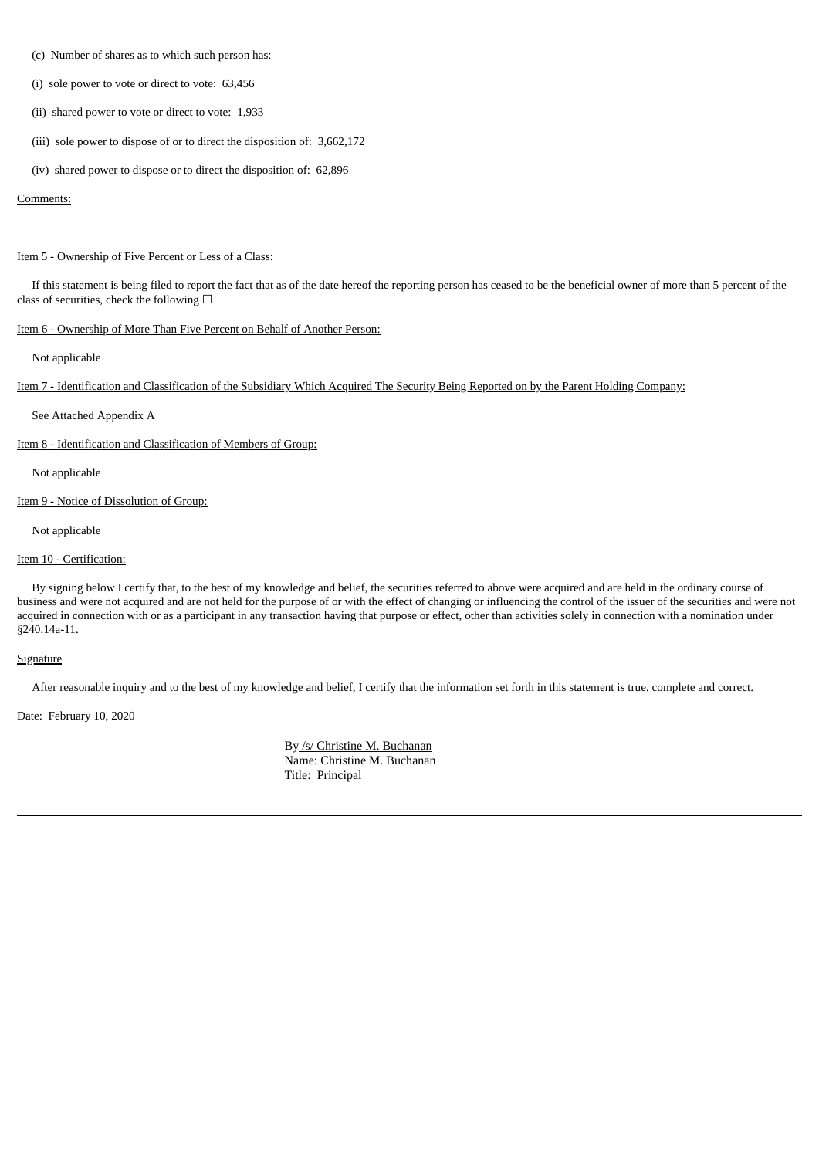- (c) Number of shares as to which such person has:
- (i) sole power to vote or direct to vote: 63,456
- (ii) shared power to vote or direct to vote: 1,933
- (iii) sole power to dispose of or to direct the disposition of: 3,662,172
- (iv) shared power to dispose or to direct the disposition of: 62,896

#### Comments:

#### Item 5 - Ownership of Five Percent or Less of a Class:

If this statement is being filed to report the fact that as of the date hereof the reporting person has ceased to be the beneficial owner of more than 5 percent of the class of securities, check the following  $\Box$ 

# Item 6 - Ownership of More Than Five Percent on Behalf of Another Person:

Not applicable

Item 7 - Identification and Classification of the Subsidiary Which Acquired The Security Being Reported on by the Parent Holding Company:

See Attached Appendix A

Item 8 - Identification and Classification of Members of Group:

Not applicable

Item 9 - Notice of Dissolution of Group:

Not applicable

### Item 10 - Certification:

By signing below I certify that, to the best of my knowledge and belief, the securities referred to above were acquired and are held in the ordinary course of business and were not acquired and are not held for the purpose of or with the effect of changing or influencing the control of the issuer of the securities and were not acquired in connection with or as a participant in any transaction having that purpose or effect, other than activities solely in connection with a nomination under §240.14a-11.

#### **Signature**

After reasonable inquiry and to the best of my knowledge and belief, I certify that the information set forth in this statement is true, complete and correct.

Date: February 10, 2020

By /s/ Christine M. Buchanan Name: Christine M. Buchanan Title: Principal